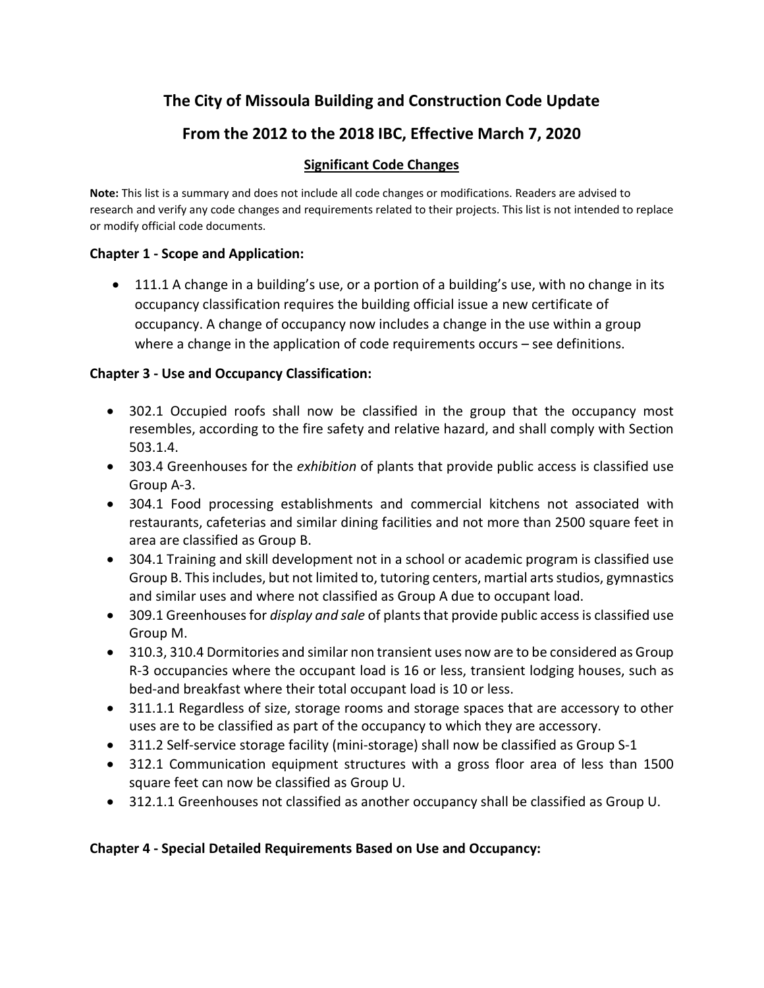# **The City of Missoula Building and Construction Code Update**

# **From the 2012 to the 2018 IBC, Effective March 7, 2020**

#### **Significant Code Changes**

**Note:** This list is a summary and does not include all code changes or modifications. Readers are advised to research and verify any code changes and requirements related to their projects. This list is not intended to replace or modify official code documents.

#### **Chapter 1 - Scope and Application:**

• 111.1 A change in a building's use, or a portion of a building's use, with no change in its occupancy classification requires the building official issue a new certificate of occupancy. A change of occupancy now includes a change in the use within a group where a change in the application of code requirements occurs – see definitions.

### **Chapter 3 - Use and Occupancy Classification:**

- 302.1 Occupied roofs shall now be classified in the group that the occupancy most resembles, according to the fire safety and relative hazard, and shall comply with Section 503.1.4.
- 303.4 Greenhouses for the *exhibition* of plants that provide public access is classified use Group A-3.
- 304.1 Food processing establishments and commercial kitchens not associated with restaurants, cafeterias and similar dining facilities and not more than 2500 square feet in area are classified as Group B.
- 304.1 Training and skill development not in a school or academic program is classified use Group B. This includes, but not limited to, tutoring centers, martial arts studios, gymnastics and similar uses and where not classified as Group A due to occupant load.
- 309.1 Greenhouses for *display and sale* of plants that provide public access is classified use Group M.
- 310.3, 310.4 Dormitories and similar non transient uses now are to be considered as Group R-3 occupancies where the occupant load is 16 or less, transient lodging houses, such as bed-and breakfast where their total occupant load is 10 or less.
- 311.1.1 Regardless of size, storage rooms and storage spaces that are accessory to other uses are to be classified as part of the occupancy to which they are accessory.
- 311.2 Self-service storage facility (mini-storage) shall now be classified as Group S-1
- 312.1 Communication equipment structures with a gross floor area of less than 1500 square feet can now be classified as Group U.
- 312.1.1 Greenhouses not classified as another occupancy shall be classified as Group U.

### **Chapter 4 - Special Detailed Requirements Based on Use and Occupancy:**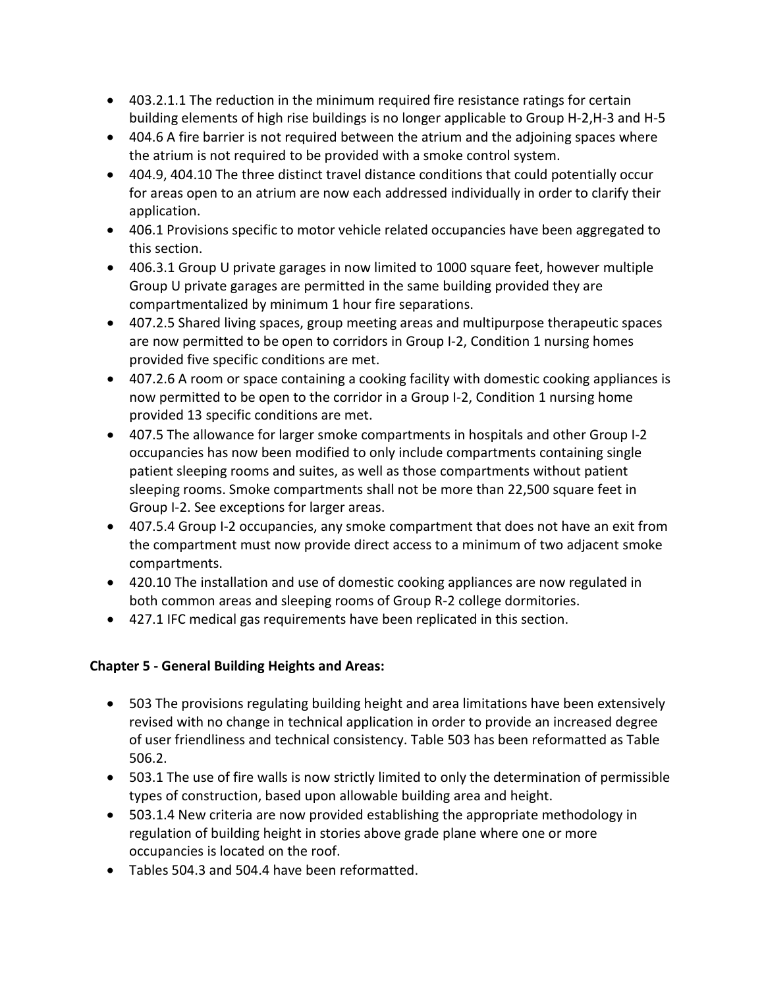- 403.2.1.1 The reduction in the minimum required fire resistance ratings for certain building elements of high rise buildings is no longer applicable to Group H-2,H-3 and H-5
- 404.6 A fire barrier is not required between the atrium and the adjoining spaces where the atrium is not required to be provided with a smoke control system.
- 404.9, 404.10 The three distinct travel distance conditions that could potentially occur for areas open to an atrium are now each addressed individually in order to clarify their application.
- 406.1 Provisions specific to motor vehicle related occupancies have been aggregated to this section.
- 406.3.1 Group U private garages in now limited to 1000 square feet, however multiple Group U private garages are permitted in the same building provided they are compartmentalized by minimum 1 hour fire separations.
- 407.2.5 Shared living spaces, group meeting areas and multipurpose therapeutic spaces are now permitted to be open to corridors in Group I-2, Condition 1 nursing homes provided five specific conditions are met.
- 407.2.6 A room or space containing a cooking facility with domestic cooking appliances is now permitted to be open to the corridor in a Group I-2, Condition 1 nursing home provided 13 specific conditions are met.
- 407.5 The allowance for larger smoke compartments in hospitals and other Group I-2 occupancies has now been modified to only include compartments containing single patient sleeping rooms and suites, as well as those compartments without patient sleeping rooms. Smoke compartments shall not be more than 22,500 square feet in Group I-2. See exceptions for larger areas.
- 407.5.4 Group I-2 occupancies, any smoke compartment that does not have an exit from the compartment must now provide direct access to a minimum of two adjacent smoke compartments.
- 420.10 The installation and use of domestic cooking appliances are now regulated in both common areas and sleeping rooms of Group R-2 college dormitories.
- 427.1 IFC medical gas requirements have been replicated in this section.

# **Chapter 5 - General Building Heights and Areas:**

- 503 The provisions regulating building height and area limitations have been extensively revised with no change in technical application in order to provide an increased degree of user friendliness and technical consistency. Table 503 has been reformatted as Table 506.2.
- 503.1 The use of fire walls is now strictly limited to only the determination of permissible types of construction, based upon allowable building area and height.
- 503.1.4 New criteria are now provided establishing the appropriate methodology in regulation of building height in stories above grade plane where one or more occupancies is located on the roof.
- Tables 504.3 and 504.4 have been reformatted.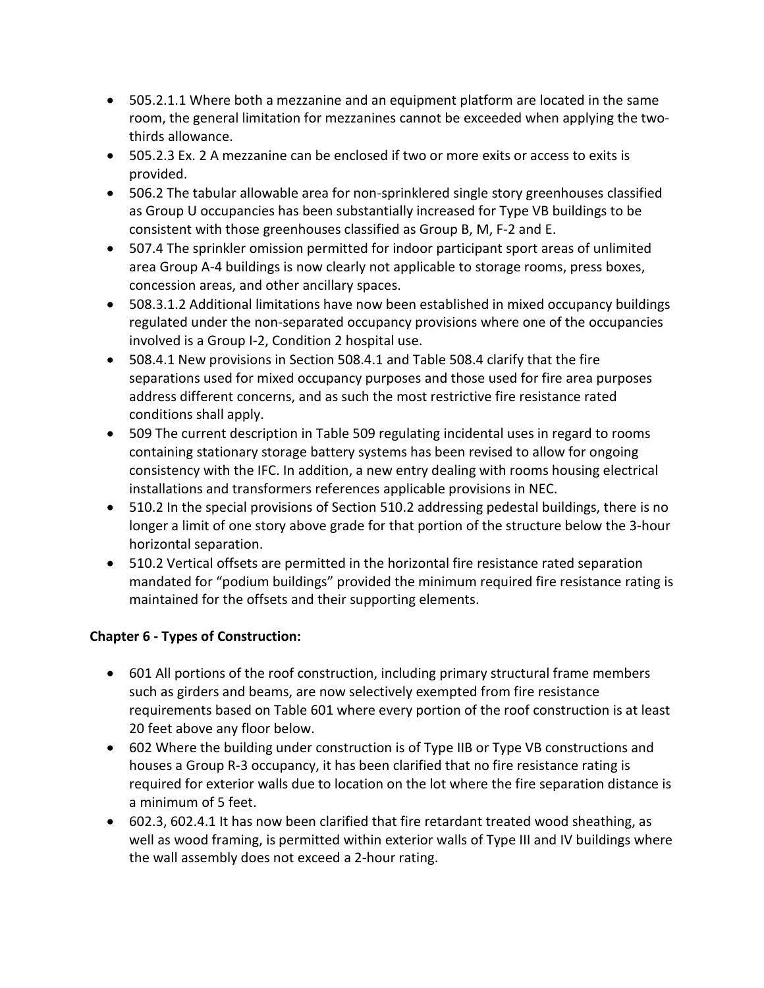- 505.2.1.1 Where both a mezzanine and an equipment platform are located in the same room, the general limitation for mezzanines cannot be exceeded when applying the twothirds allowance.
- 505.2.3 Ex. 2 A mezzanine can be enclosed if two or more exits or access to exits is provided.
- 506.2 The tabular allowable area for non-sprinklered single story greenhouses classified as Group U occupancies has been substantially increased for Type VB buildings to be consistent with those greenhouses classified as Group B, M, F-2 and E.
- 507.4 The sprinkler omission permitted for indoor participant sport areas of unlimited area Group A-4 buildings is now clearly not applicable to storage rooms, press boxes, concession areas, and other ancillary spaces.
- 508.3.1.2 Additional limitations have now been established in mixed occupancy buildings regulated under the non-separated occupancy provisions where one of the occupancies involved is a Group I-2, Condition 2 hospital use.
- 508.4.1 New provisions in Section 508.4.1 and Table 508.4 clarify that the fire separations used for mixed occupancy purposes and those used for fire area purposes address different concerns, and as such the most restrictive fire resistance rated conditions shall apply.
- 509 The current description in Table 509 regulating incidental uses in regard to rooms containing stationary storage battery systems has been revised to allow for ongoing consistency with the IFC. In addition, a new entry dealing with rooms housing electrical installations and transformers references applicable provisions in NEC.
- 510.2 In the special provisions of Section 510.2 addressing pedestal buildings, there is no longer a limit of one story above grade for that portion of the structure below the 3-hour horizontal separation.
- 510.2 Vertical offsets are permitted in the horizontal fire resistance rated separation mandated for "podium buildings" provided the minimum required fire resistance rating is maintained for the offsets and their supporting elements.

# **Chapter 6 - Types of Construction:**

- 601 All portions of the roof construction, including primary structural frame members such as girders and beams, are now selectively exempted from fire resistance requirements based on Table 601 where every portion of the roof construction is at least 20 feet above any floor below.
- 602 Where the building under construction is of Type IIB or Type VB constructions and houses a Group R-3 occupancy, it has been clarified that no fire resistance rating is required for exterior walls due to location on the lot where the fire separation distance is a minimum of 5 feet.
- 602.3, 602.4.1 It has now been clarified that fire retardant treated wood sheathing, as well as wood framing, is permitted within exterior walls of Type III and IV buildings where the wall assembly does not exceed a 2-hour rating.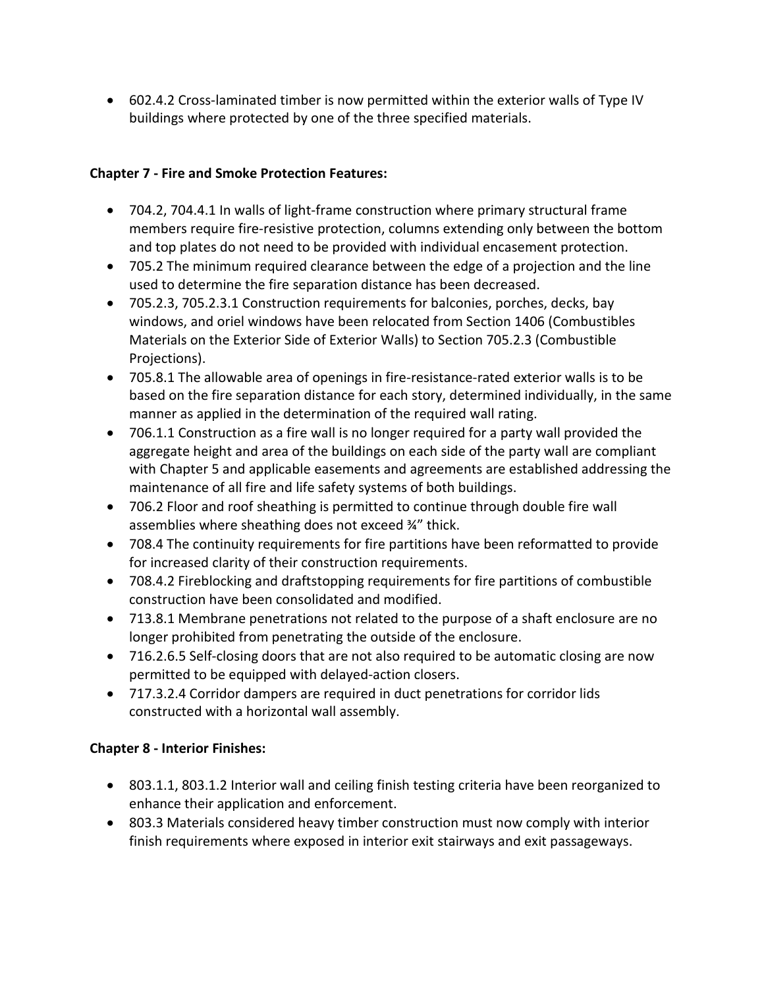• 602.4.2 Cross-laminated timber is now permitted within the exterior walls of Type IV buildings where protected by one of the three specified materials.

### **Chapter 7 - Fire and Smoke Protection Features:**

- 704.2, 704.4.1 In walls of light-frame construction where primary structural frame members require fire-resistive protection, columns extending only between the bottom and top plates do not need to be provided with individual encasement protection.
- 705.2 The minimum required clearance between the edge of a projection and the line used to determine the fire separation distance has been decreased.
- 705.2.3, 705.2.3.1 Construction requirements for balconies, porches, decks, bay windows, and oriel windows have been relocated from Section 1406 (Combustibles Materials on the Exterior Side of Exterior Walls) to Section 705.2.3 (Combustible Projections).
- 705.8.1 The allowable area of openings in fire-resistance-rated exterior walls is to be based on the fire separation distance for each story, determined individually, in the same manner as applied in the determination of the required wall rating.
- 706.1.1 Construction as a fire wall is no longer required for a party wall provided the aggregate height and area of the buildings on each side of the party wall are compliant with Chapter 5 and applicable easements and agreements are established addressing the maintenance of all fire and life safety systems of both buildings.
- 706.2 Floor and roof sheathing is permitted to continue through double fire wall assemblies where sheathing does not exceed ¾" thick.
- 708.4 The continuity requirements for fire partitions have been reformatted to provide for increased clarity of their construction requirements.
- 708.4.2 Fireblocking and draftstopping requirements for fire partitions of combustible construction have been consolidated and modified.
- 713.8.1 Membrane penetrations not related to the purpose of a shaft enclosure are no longer prohibited from penetrating the outside of the enclosure.
- 716.2.6.5 Self-closing doors that are not also required to be automatic closing are now permitted to be equipped with delayed-action closers.
- 717.3.2.4 Corridor dampers are required in duct penetrations for corridor lids constructed with a horizontal wall assembly.

# **Chapter 8 - Interior Finishes:**

- 803.1.1, 803.1.2 Interior wall and ceiling finish testing criteria have been reorganized to enhance their application and enforcement.
- 803.3 Materials considered heavy timber construction must now comply with interior finish requirements where exposed in interior exit stairways and exit passageways.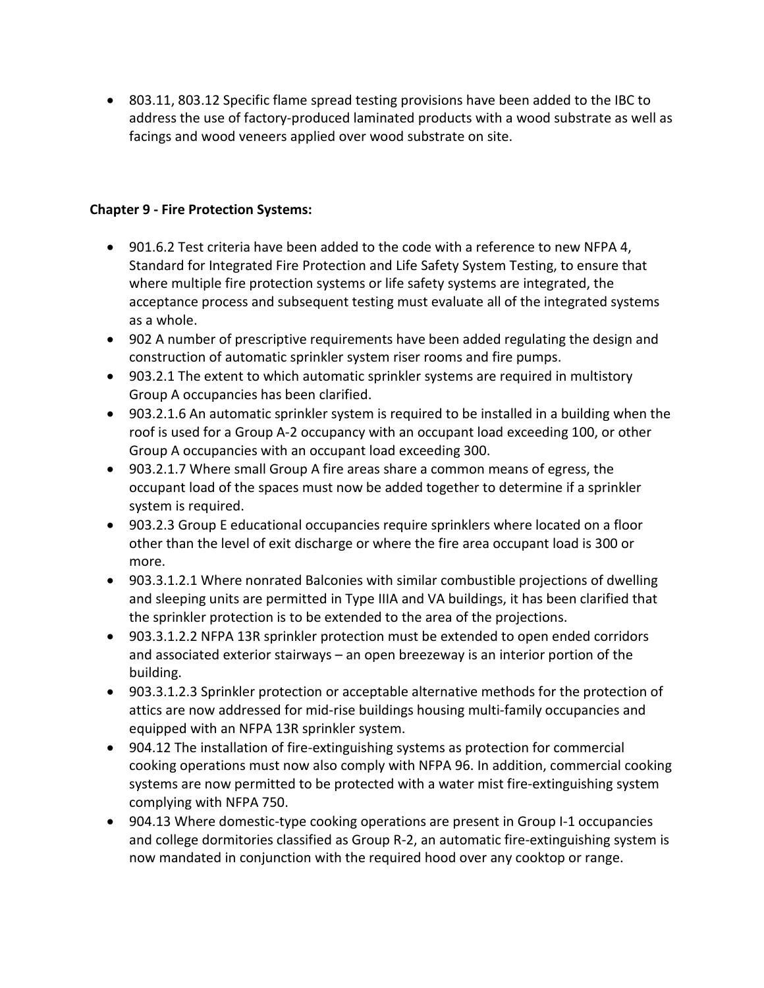• 803.11, 803.12 Specific flame spread testing provisions have been added to the IBC to address the use of factory-produced laminated products with a wood substrate as well as facings and wood veneers applied over wood substrate on site.

#### **Chapter 9 - Fire Protection Systems:**

- 901.6.2 Test criteria have been added to the code with a reference to new NFPA 4, Standard for Integrated Fire Protection and Life Safety System Testing, to ensure that where multiple fire protection systems or life safety systems are integrated, the acceptance process and subsequent testing must evaluate all of the integrated systems as a whole.
- 902 A number of prescriptive requirements have been added regulating the design and construction of automatic sprinkler system riser rooms and fire pumps.
- 903.2.1 The extent to which automatic sprinkler systems are required in multistory Group A occupancies has been clarified.
- 903.2.1.6 An automatic sprinkler system is required to be installed in a building when the roof is used for a Group A-2 occupancy with an occupant load exceeding 100, or other Group A occupancies with an occupant load exceeding 300.
- 903.2.1.7 Where small Group A fire areas share a common means of egress, the occupant load of the spaces must now be added together to determine if a sprinkler system is required.
- 903.2.3 Group E educational occupancies require sprinklers where located on a floor other than the level of exit discharge or where the fire area occupant load is 300 or more.
- 903.3.1.2.1 Where nonrated Balconies with similar combustible projections of dwelling and sleeping units are permitted in Type IIIA and VA buildings, it has been clarified that the sprinkler protection is to be extended to the area of the projections.
- 903.3.1.2.2 NFPA 13R sprinkler protection must be extended to open ended corridors and associated exterior stairways – an open breezeway is an interior portion of the building.
- 903.3.1.2.3 Sprinkler protection or acceptable alternative methods for the protection of attics are now addressed for mid-rise buildings housing multi-family occupancies and equipped with an NFPA 13R sprinkler system.
- 904.12 The installation of fire-extinguishing systems as protection for commercial cooking operations must now also comply with NFPA 96. In addition, commercial cooking systems are now permitted to be protected with a water mist fire-extinguishing system complying with NFPA 750.
- 904.13 Where domestic-type cooking operations are present in Group I-1 occupancies and college dormitories classified as Group R-2, an automatic fire-extinguishing system is now mandated in conjunction with the required hood over any cooktop or range.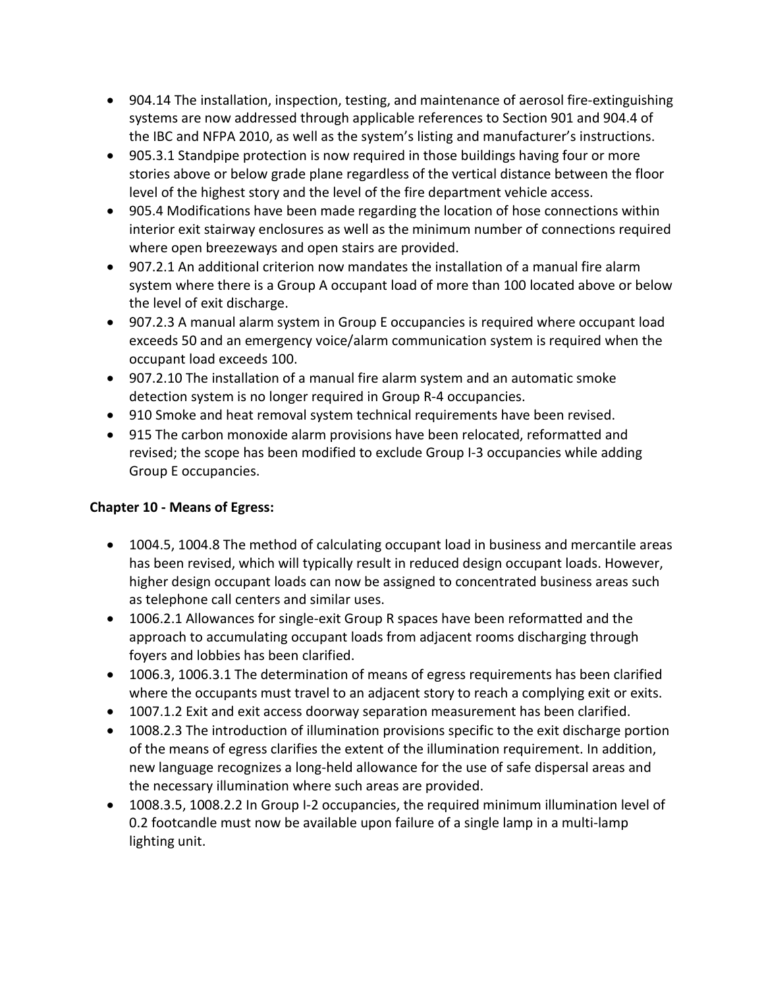- 904.14 The installation, inspection, testing, and maintenance of aerosol fire-extinguishing systems are now addressed through applicable references to Section 901 and 904.4 of the IBC and NFPA 2010, as well as the system's listing and manufacturer's instructions.
- 905.3.1 Standpipe protection is now required in those buildings having four or more stories above or below grade plane regardless of the vertical distance between the floor level of the highest story and the level of the fire department vehicle access.
- 905.4 Modifications have been made regarding the location of hose connections within interior exit stairway enclosures as well as the minimum number of connections required where open breezeways and open stairs are provided.
- 907.2.1 An additional criterion now mandates the installation of a manual fire alarm system where there is a Group A occupant load of more than 100 located above or below the level of exit discharge.
- 907.2.3 A manual alarm system in Group E occupancies is required where occupant load exceeds 50 and an emergency voice/alarm communication system is required when the occupant load exceeds 100.
- 907.2.10 The installation of a manual fire alarm system and an automatic smoke detection system is no longer required in Group R-4 occupancies.
- 910 Smoke and heat removal system technical requirements have been revised.
- 915 The carbon monoxide alarm provisions have been relocated, reformatted and revised; the scope has been modified to exclude Group I-3 occupancies while adding Group E occupancies.

# **Chapter 10 - Means of Egress:**

- 1004.5, 1004.8 The method of calculating occupant load in business and mercantile areas has been revised, which will typically result in reduced design occupant loads. However, higher design occupant loads can now be assigned to concentrated business areas such as telephone call centers and similar uses.
- 1006.2.1 Allowances for single-exit Group R spaces have been reformatted and the approach to accumulating occupant loads from adjacent rooms discharging through foyers and lobbies has been clarified.
- 1006.3, 1006.3.1 The determination of means of egress requirements has been clarified where the occupants must travel to an adjacent story to reach a complying exit or exits.
- 1007.1.2 Exit and exit access doorway separation measurement has been clarified.
- 1008.2.3 The introduction of illumination provisions specific to the exit discharge portion of the means of egress clarifies the extent of the illumination requirement. In addition, new language recognizes a long-held allowance for the use of safe dispersal areas and the necessary illumination where such areas are provided.
- 1008.3.5, 1008.2.2 In Group I-2 occupancies, the required minimum illumination level of 0.2 footcandle must now be available upon failure of a single lamp in a multi-lamp lighting unit.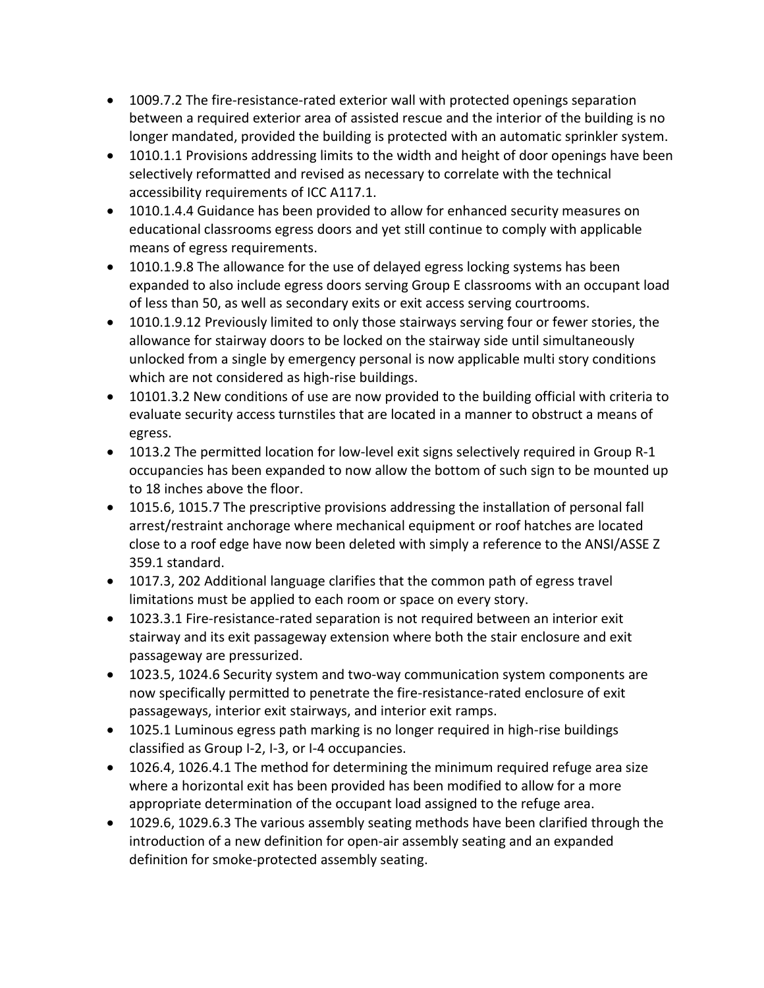- 1009.7.2 The fire-resistance-rated exterior wall with protected openings separation between a required exterior area of assisted rescue and the interior of the building is no longer mandated, provided the building is protected with an automatic sprinkler system.
- 1010.1.1 Provisions addressing limits to the width and height of door openings have been selectively reformatted and revised as necessary to correlate with the technical accessibility requirements of ICC A117.1.
- 1010.1.4.4 Guidance has been provided to allow for enhanced security measures on educational classrooms egress doors and yet still continue to comply with applicable means of egress requirements.
- 1010.1.9.8 The allowance for the use of delayed egress locking systems has been expanded to also include egress doors serving Group E classrooms with an occupant load of less than 50, as well as secondary exits or exit access serving courtrooms.
- 1010.1.9.12 Previously limited to only those stairways serving four or fewer stories, the allowance for stairway doors to be locked on the stairway side until simultaneously unlocked from a single by emergency personal is now applicable multi story conditions which are not considered as high-rise buildings.
- 10101.3.2 New conditions of use are now provided to the building official with criteria to evaluate security access turnstiles that are located in a manner to obstruct a means of egress.
- 1013.2 The permitted location for low-level exit signs selectively required in Group R-1 occupancies has been expanded to now allow the bottom of such sign to be mounted up to 18 inches above the floor.
- 1015.6, 1015.7 The prescriptive provisions addressing the installation of personal fall arrest/restraint anchorage where mechanical equipment or roof hatches are located close to a roof edge have now been deleted with simply a reference to the ANSI/ASSE Z 359.1 standard.
- 1017.3, 202 Additional language clarifies that the common path of egress travel limitations must be applied to each room or space on every story.
- 1023.3.1 Fire-resistance-rated separation is not required between an interior exit stairway and its exit passageway extension where both the stair enclosure and exit passageway are pressurized.
- 1023.5, 1024.6 Security system and two-way communication system components are now specifically permitted to penetrate the fire-resistance-rated enclosure of exit passageways, interior exit stairways, and interior exit ramps.
- 1025.1 Luminous egress path marking is no longer required in high-rise buildings classified as Group I-2, I-3, or I-4 occupancies.
- 1026.4, 1026.4.1 The method for determining the minimum required refuge area size where a horizontal exit has been provided has been modified to allow for a more appropriate determination of the occupant load assigned to the refuge area.
- 1029.6, 1029.6.3 The various assembly seating methods have been clarified through the introduction of a new definition for open-air assembly seating and an expanded definition for smoke-protected assembly seating.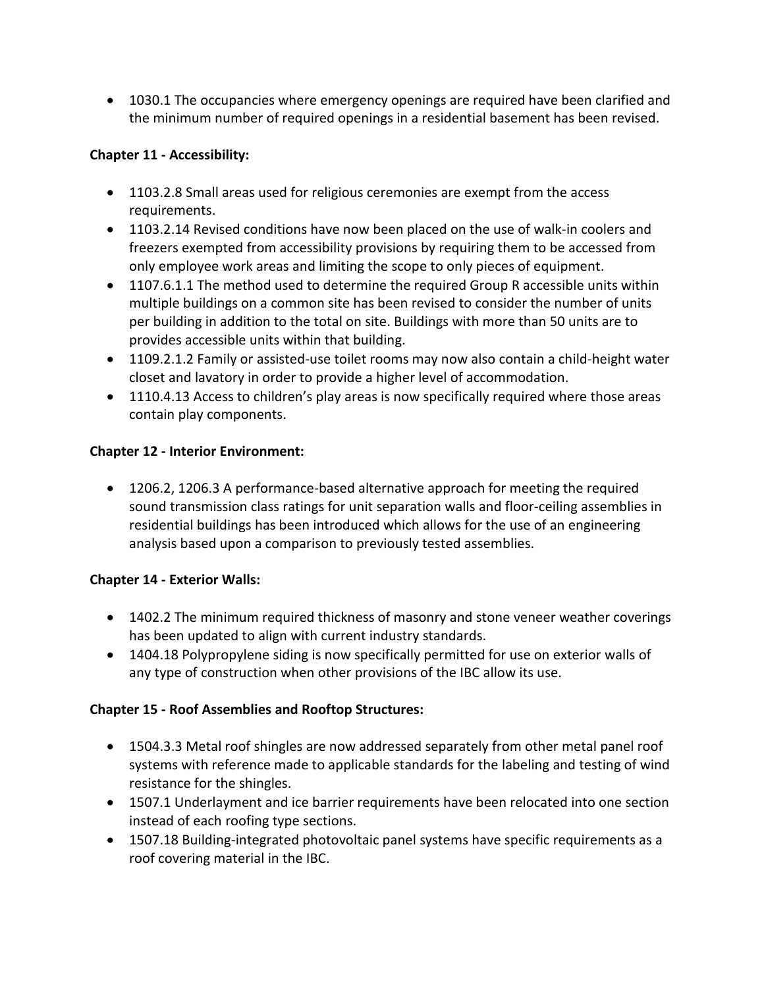• 1030.1 The occupancies where emergency openings are required have been clarified and the minimum number of required openings in a residential basement has been revised.

### **Chapter 11 - Accessibility:**

- 1103.2.8 Small areas used for religious ceremonies are exempt from the access requirements.
- 1103.2.14 Revised conditions have now been placed on the use of walk-in coolers and freezers exempted from accessibility provisions by requiring them to be accessed from only employee work areas and limiting the scope to only pieces of equipment.
- 1107.6.1.1 The method used to determine the required Group R accessible units within multiple buildings on a common site has been revised to consider the number of units per building in addition to the total on site. Buildings with more than 50 units are to provides accessible units within that building.
- 1109.2.1.2 Family or assisted-use toilet rooms may now also contain a child-height water closet and lavatory in order to provide a higher level of accommodation.
- 1110.4.13 Access to children's play areas is now specifically required where those areas contain play components.

### **Chapter 12 - Interior Environment:**

• 1206.2, 1206.3 A performance-based alternative approach for meeting the required sound transmission class ratings for unit separation walls and floor-ceiling assemblies in residential buildings has been introduced which allows for the use of an engineering analysis based upon a comparison to previously tested assemblies.

### **Chapter 14 - Exterior Walls:**

- 1402.2 The minimum required thickness of masonry and stone veneer weather coverings has been updated to align with current industry standards.
- 1404.18 Polypropylene siding is now specifically permitted for use on exterior walls of any type of construction when other provisions of the IBC allow its use.

# **Chapter 15 - Roof Assemblies and Rooftop Structures:**

- 1504.3.3 Metal roof shingles are now addressed separately from other metal panel roof systems with reference made to applicable standards for the labeling and testing of wind resistance for the shingles.
- 1507.1 Underlayment and ice barrier requirements have been relocated into one section instead of each roofing type sections.
- 1507.18 Building-integrated photovoltaic panel systems have specific requirements as a roof covering material in the IBC.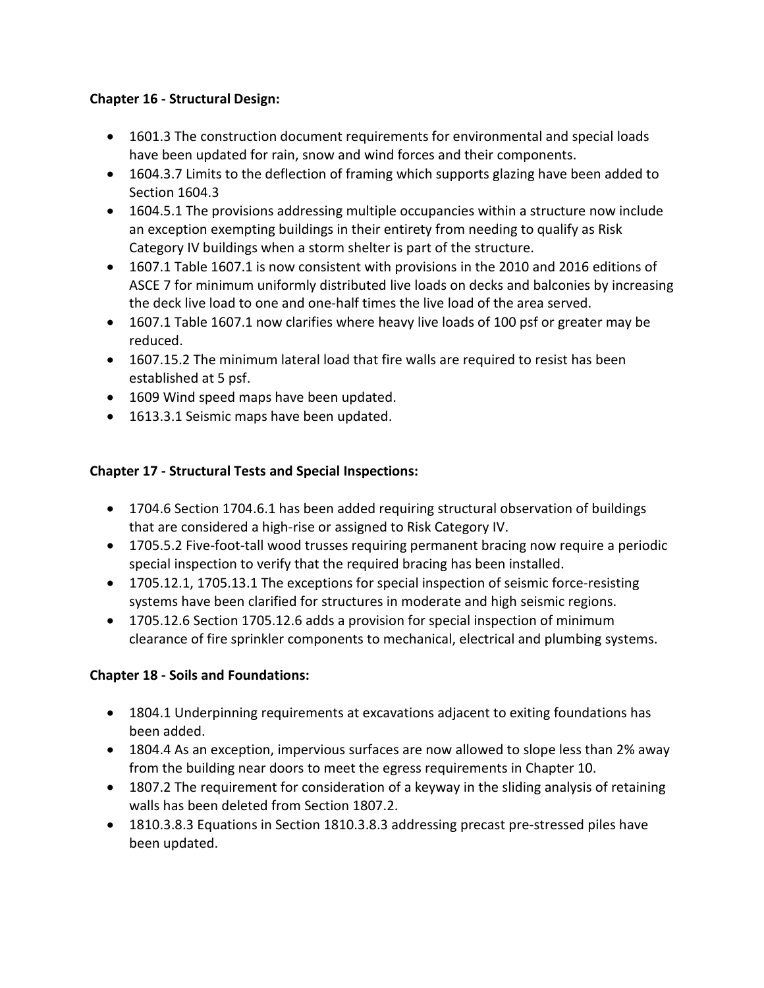### **Chapter 16 - Structural Design:**

- 1601.3 The construction document requirements for environmental and special loads have been updated for rain, snow and wind forces and their components.
- 1604.3.7 Limits to the deflection of framing which supports glazing have been added to Section 1604.3
- 1604.5.1 The provisions addressing multiple occupancies within a structure now include an exception exempting buildings in their entirety from needing to qualify as Risk Category IV buildings when a storm shelter is part of the structure.
- 1607.1 Table 1607.1 is now consistent with provisions in the 2010 and 2016 editions of ASCE 7 for minimum uniformly distributed live loads on decks and balconies by increasing the deck live load to one and one-half times the live load of the area served.
- 1607.1 Table 1607.1 now clarifies where heavy live loads of 100 psf or greater may be reduced.
- 1607.15.2 The minimum lateral load that fire walls are required to resist has been established at 5 psf.
- 1609 Wind speed maps have been updated.
- 1613.3.1 Seismic maps have been updated.

# **Chapter 17 - Structural Tests and Special Inspections:**

- 1704.6 Section 1704.6.1 has been added requiring structural observation of buildings that are considered a high-rise or assigned to Risk Category IV.
- 1705.5.2 Five-foot-tall wood trusses requiring permanent bracing now require a periodic special inspection to verify that the required bracing has been installed.
- 1705.12.1, 1705.13.1 The exceptions for special inspection of seismic force-resisting systems have been clarified for structures in moderate and high seismic regions.
- 1705.12.6 Section 1705.12.6 adds a provision for special inspection of minimum clearance of fire sprinkler components to mechanical, electrical and plumbing systems.

# **Chapter 18 - Soils and Foundations:**

- 1804.1 Underpinning requirements at excavations adjacent to exiting foundations has been added.
- 1804.4 As an exception, impervious surfaces are now allowed to slope less than 2% away from the building near doors to meet the egress requirements in Chapter 10.
- 1807.2 The requirement for consideration of a keyway in the sliding analysis of retaining walls has been deleted from Section 1807.2.
- 1810.3.8.3 Equations in Section 1810.3.8.3 addressing precast pre-stressed piles have been updated.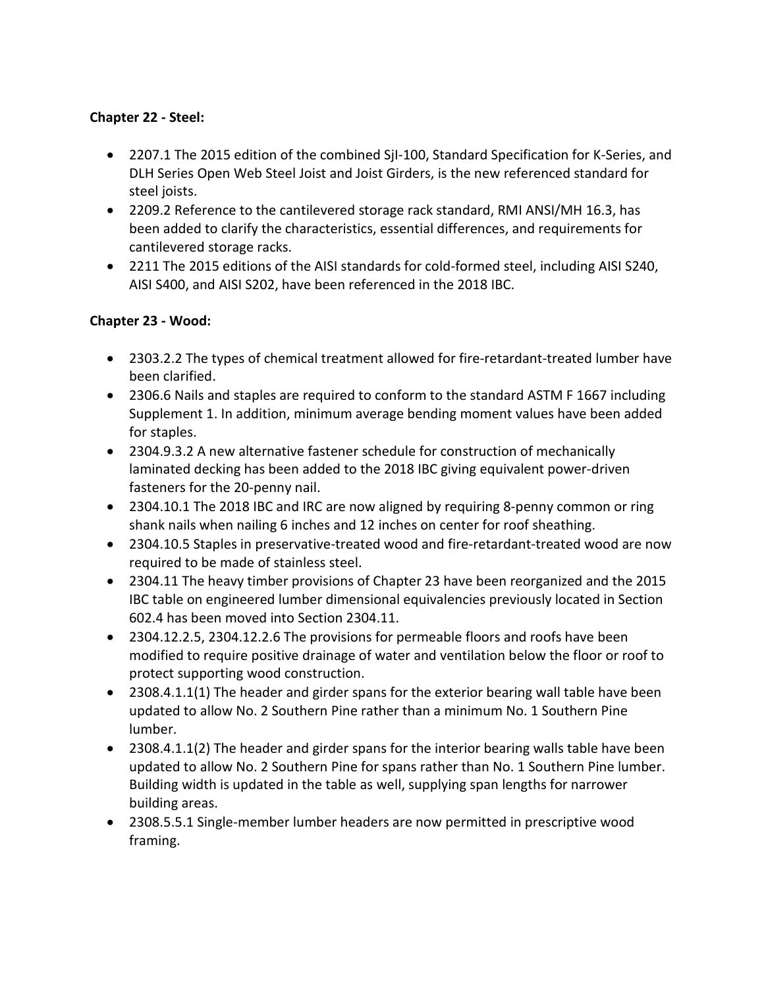### **Chapter 22 - Steel:**

- 2207.1 The 2015 edition of the combined SjI-100, Standard Specification for K-Series, and DLH Series Open Web Steel Joist and Joist Girders, is the new referenced standard for steel joists.
- 2209.2 Reference to the cantilevered storage rack standard, RMI ANSI/MH 16.3, has been added to clarify the characteristics, essential differences, and requirements for cantilevered storage racks.
- 2211 The 2015 editions of the AISI standards for cold-formed steel, including AISI S240, AISI S400, and AISI S202, have been referenced in the 2018 IBC.

# **Chapter 23 - Wood:**

- 2303.2.2 The types of chemical treatment allowed for fire-retardant-treated lumber have been clarified.
- 2306.6 Nails and staples are required to conform to the standard ASTM F 1667 including Supplement 1. In addition, minimum average bending moment values have been added for staples.
- 2304.9.3.2 A new alternative fastener schedule for construction of mechanically laminated decking has been added to the 2018 IBC giving equivalent power-driven fasteners for the 20-penny nail.
- 2304.10.1 The 2018 IBC and IRC are now aligned by requiring 8-penny common or ring shank nails when nailing 6 inches and 12 inches on center for roof sheathing.
- 2304.10.5 Staples in preservative-treated wood and fire-retardant-treated wood are now required to be made of stainless steel.
- 2304.11 The heavy timber provisions of Chapter 23 have been reorganized and the 2015 IBC table on engineered lumber dimensional equivalencies previously located in Section 602.4 has been moved into Section 2304.11.
- 2304.12.2.5, 2304.12.2.6 The provisions for permeable floors and roofs have been modified to require positive drainage of water and ventilation below the floor or roof to protect supporting wood construction.
- 2308.4.1.1(1) The header and girder spans for the exterior bearing wall table have been updated to allow No. 2 Southern Pine rather than a minimum No. 1 Southern Pine lumber.
- 2308.4.1.1(2) The header and girder spans for the interior bearing walls table have been updated to allow No. 2 Southern Pine for spans rather than No. 1 Southern Pine lumber. Building width is updated in the table as well, supplying span lengths for narrower building areas.
- 2308.5.5.1 Single-member lumber headers are now permitted in prescriptive wood framing.